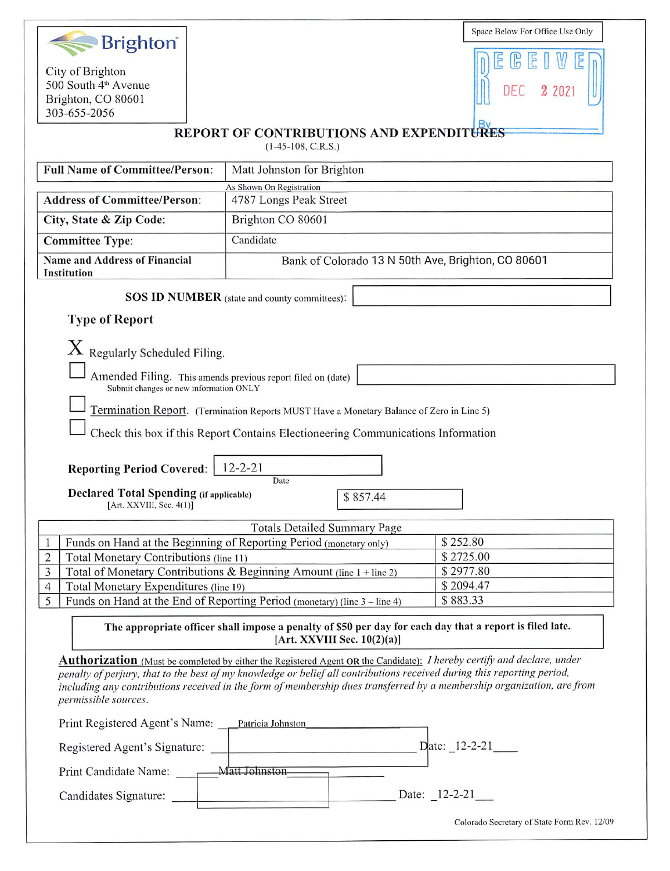| <b>Brighton</b> <sup>®</sup>                                                                                                                   |                                                                                                                         | Space Below For Office Use Only             |  |  |
|------------------------------------------------------------------------------------------------------------------------------------------------|-------------------------------------------------------------------------------------------------------------------------|---------------------------------------------|--|--|
|                                                                                                                                                |                                                                                                                         |                                             |  |  |
| City of Brighton<br>500 South 4 <sup>th</sup> Avenue                                                                                           |                                                                                                                         |                                             |  |  |
| Brighton, CO 80601                                                                                                                             |                                                                                                                         |                                             |  |  |
| 303-655-2056                                                                                                                                   |                                                                                                                         |                                             |  |  |
| <b>REPORT OF CONTRIBUTIONS AND EXPENDITURES</b><br>$(1-45-108, C.R.S.)$                                                                        |                                                                                                                         |                                             |  |  |
| <b>Full Name of Committee/Person:</b>                                                                                                          | Matt Johnston for Brighton                                                                                              |                                             |  |  |
|                                                                                                                                                | As Shown On Registration                                                                                                |                                             |  |  |
| <b>Address of Committee/Person:</b>                                                                                                            | 4787 Longs Peak Street                                                                                                  |                                             |  |  |
| City, State & Zip Code:                                                                                                                        | Brighton CO 80601                                                                                                       |                                             |  |  |
| <b>Committee Type:</b>                                                                                                                         | Candidate                                                                                                               |                                             |  |  |
| <b>Name and Address of Financial</b><br><b>Institution</b>                                                                                     | Bank of Colorado 13 N 50th Ave, Brighton, CO 80601                                                                      |                                             |  |  |
| <b>SOS ID NUMBER</b> (state and county committees):                                                                                            |                                                                                                                         |                                             |  |  |
| <b>Type of Report</b>                                                                                                                          |                                                                                                                         |                                             |  |  |
| $X$ Regularly Scheduled Filing.                                                                                                                |                                                                                                                         |                                             |  |  |
|                                                                                                                                                |                                                                                                                         |                                             |  |  |
| Amended Filing. This amends previous report filed on (date)<br>Submit changes or new information ONLY                                          |                                                                                                                         |                                             |  |  |
|                                                                                                                                                |                                                                                                                         |                                             |  |  |
|                                                                                                                                                | Termination Report. (Termination Reports MUST Have a Monetary Balance of Zero in Line 5)                                |                                             |  |  |
|                                                                                                                                                | Check this box if this Report Contains Electioneering Communications Information                                        |                                             |  |  |
|                                                                                                                                                |                                                                                                                         |                                             |  |  |
| $12 - 2 - 21$<br><b>Reporting Period Covered:</b><br>Date                                                                                      |                                                                                                                         |                                             |  |  |
| <b>Declared Total Spending (if applicable)</b>                                                                                                 | \$857.44                                                                                                                |                                             |  |  |
| [Art. XXVIII, Sec. 4(1)]                                                                                                                       |                                                                                                                         |                                             |  |  |
|                                                                                                                                                | <b>Totals Detailed Summary Page</b>                                                                                     | \$252.80                                    |  |  |
| $\mathbf{1}$<br>Total Monetary Contributions (line 11)<br>$\overline{c}$                                                                       | Funds on Hand at the Beginning of Reporting Period (monetary only)                                                      | \$2725.00                                   |  |  |
| $\overline{3}$                                                                                                                                 | Total of Monetary Contributions & Beginning Amount (line 1 + line 2)                                                    | \$2977.80                                   |  |  |
| $\overline{4}$<br>Total Monetary Expenditures (line 19)                                                                                        |                                                                                                                         | \$2094.47                                   |  |  |
| 5                                                                                                                                              | Funds on Hand at the End of Reporting Period (monetary) (line 3 – line 4)                                               | \$883.33                                    |  |  |
| The appropriate officer shall impose a penalty of \$50 per day for each day that a report is filed late.<br>[Art. XXVIII Sec. $10(2)(a)$ ]     |                                                                                                                         |                                             |  |  |
|                                                                                                                                                | Authorization (Must be completed by either the Registered Agent OR the Candidate): I hereby certify and declare, under  |                                             |  |  |
|                                                                                                                                                | penalty of perjury, that to the best of my knowledge or belief all contributions received during this reporting period, |                                             |  |  |
| including any contributions received in the form of membership dues transferred by a membership organization, are from<br>permissible sources. |                                                                                                                         |                                             |  |  |
| Print Registered Agent's Name: Patricia Johnston                                                                                               |                                                                                                                         |                                             |  |  |
|                                                                                                                                                |                                                                                                                         |                                             |  |  |
| Print Candidate Name: ________ Matt Johnston                                                                                                   |                                                                                                                         |                                             |  |  |
| Candidates Signature:                                                                                                                          |                                                                                                                         | Date: 12-2-21                               |  |  |
|                                                                                                                                                |                                                                                                                         | Colorado Secretary of State Form Rev. 12/09 |  |  |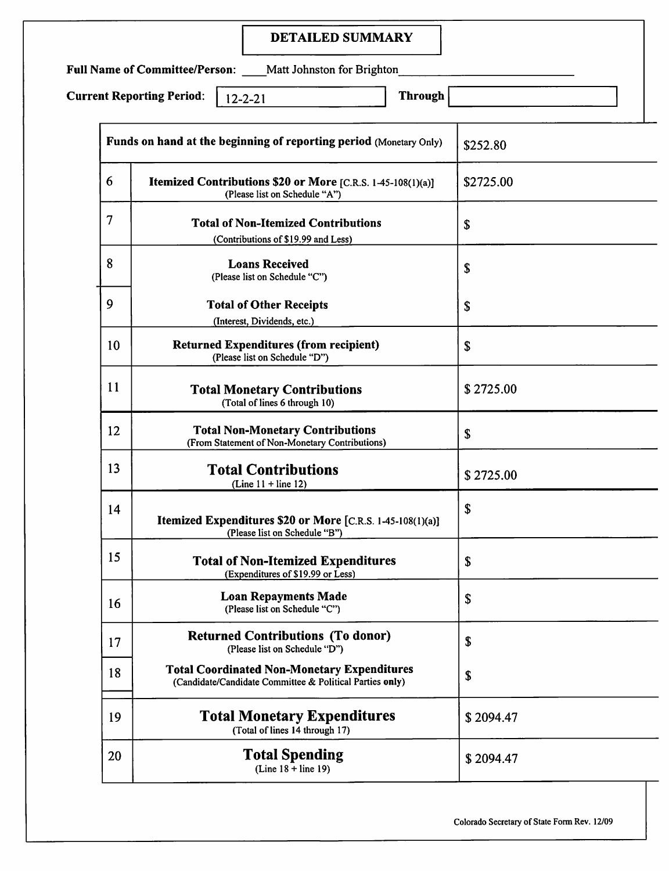## DETAILED SUMMARY

Full Name of Committee/Person: \_\_\_\_Matt Johnston for Brighton\_

Current Reporting Period:  $\begin{array}{|c|c|c|c|c|}\n\hline\n12-2-21 & \hline\n\end{array}$  Through

| Funds on hand at the beginning of reporting period (Monetary Only) |                                                                                                                | \$252.80  |
|--------------------------------------------------------------------|----------------------------------------------------------------------------------------------------------------|-----------|
| 6                                                                  | <b>Itemized Contributions \$20 or More</b> [C.R.S. 1-45-108(1)(a)]<br>(Please list on Schedule "A")            | \$2725.00 |
| $\overline{7}$                                                     | <b>Total of Non-Itemized Contributions</b><br>(Contributions of \$19.99 and Less)                              | \$        |
| 8                                                                  | <b>Loans Received</b><br>(Please list on Schedule "C")                                                         | \$        |
| 9                                                                  | <b>Total of Other Receipts</b><br>(Interest, Dividends, etc.)                                                  | \$        |
| 10                                                                 | <b>Returned Expenditures (from recipient)</b><br>(Please list on Schedule "D")                                 | \$        |
| 11                                                                 | <b>Total Monetary Contributions</b><br>(Total of lines 6 through 10)                                           | \$2725.00 |
| 12                                                                 | <b>Total Non-Monetary Contributions</b><br>(From Statement of Non-Monetary Contributions)                      | \$        |
| 13                                                                 | <b>Total Contributions</b><br>(Line $11 +$ line 12)                                                            | \$2725.00 |
| 14                                                                 | Itemized Expenditures \$20 or More [C.R.S. 1-45-108(1)(a)]<br>(Please list on Schedule "B")                    | \$        |
| 15                                                                 | <b>Total of Non-Itemized Expenditures</b><br>(Expenditures of \$19.99 or Less)                                 | S         |
| 16                                                                 | <b>Loan Repayments Made</b><br>(Please list on Schedule "C")                                                   | \$        |
| 17                                                                 | <b>Returned Contributions (To donor)</b><br>(Please list on Schedule "D")                                      | \$        |
| 18                                                                 | <b>Total Coordinated Non-Monetary Expenditures</b><br>(Candidate/Candidate Committee & Political Parties only) | \$        |
| 19                                                                 | <b>Total Monetary Expenditures</b><br>(Total of lines 14 through 17)                                           | \$2094.47 |
| 20                                                                 | <b>Total Spending</b><br>$(Line 18 + line 19)$                                                                 | \$2094.47 |

Colorado Secretary of State Form Rev. 12/09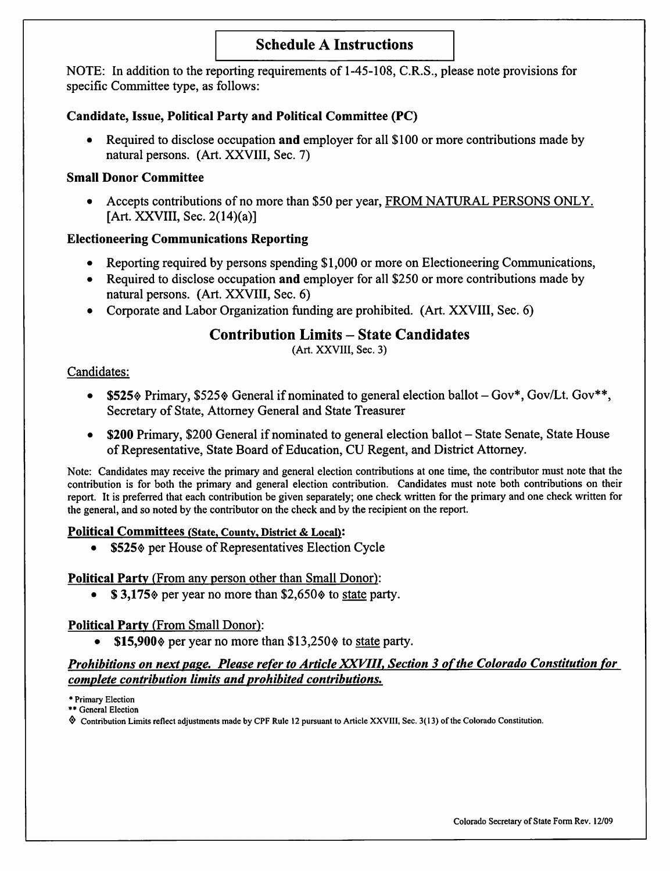## Schedule A Instructions

NOTE; In addition to the reporting requirements of 1-45-108, C.R.S., please note provisions for specific Committee type, as follows:

#### Candidate, Issue, Political Party and Political Committee (PC)

Required to disclose occupation and employer for all \$100 or more contributions made by natural persons. (Art. XXVIII, Sec. 7)

#### Small Donor Committee

• Accepts contributions of no more than \$50 per year, FROM NATURAL PERSONS ONLY. [Art. XXVIII, Sec. 2(14)(a)]

#### Electioneering Communications Reporting

- Reporting required by persons spending \$1,000 or more on Electioneering Communications,
- Required to disclose occupation and employer for all \$250 or more contributions made by natural persons. (Art. XXVIII, Sec. 6)
- Corporate and Labor Organization funding are prohibited. (Art. XXVIII, Sec. 6)

# Contribution Limits - State Candidates

(Art. XXVIII, Sec. 3)

#### Candidates:

- \$525 $\Diamond$  Primary, \$525 $\Diamond$  General if nominated to general election ballot  $-Gov^*$ , Gov/Lt. Gov\*\*, Secretary of State, Attorney General and State Treasurer
- \$200 Primary, \$200 General if nominated to general election ballot State Senate, State House of Representative, State Board of Education, CU Regent, and District Attorney.

Note: Candidates may receive the primary and general election contributions at one time, the contributor must note that the contribution is for both the primary and general election contribution. Candidates must note both contributions on their report. It is preferred that each contribution be given separately; one check written for the primary and one check written for the general, and so noted by the contributor on the check and by the recipient on the report.

#### Political Committees (State, County, District & Local):

• \$525% per House of Representatives Election Cycle

#### Political Party (From any person other than Small Donor):

 $$3,175$  per year no more than  $$2,650$  to state party.

#### Political Party (From Small Donor):

• \$15,900 $\Diamond$  per year no more than \$13,250 $\Diamond$  to state party.

#### Prohibitions on next page. Please refer to Article XXVIII, Section 3 of the Colorado Constitution for complete contribution limits and prohibited contributions.

\* Primary Election

\*\* General Election

Contribution Limits reflect adjustments made by CPF Rule 12 pursuant to Article XXVIII, Sec. 3(13) of the Colorado Constitution.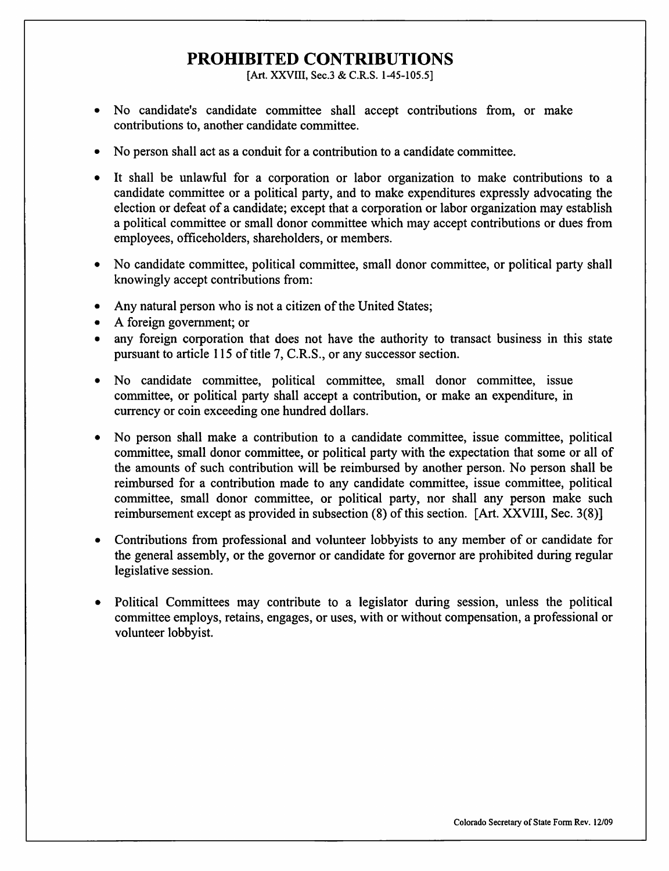# PROHIBITED CONTRIBUTIONS

[Art. XXVIII, Sec.3 & C.R.S. 1-45-105.5]

- No candidate's candidate committee shall accept contributions from, or make contributions to, another candidate committee.
- No person shall act as a conduit for a contribution to a candidate committee.
- It shall be unlawful for a corporation or labor organization to make contributions to a candidate committee or a political party, and to make expenditures expressly advocating the election or defeat of a candidate; except that a corporation or labor organization may establish a political committee or small donor committee which may accept contributions or dues from employees, officeholders, shareholders, or members.
- No candidate committee, political committee, small donor committee, or political party shall knowingly accept contributions from:
- Any natural person who is not a citizen of the United States;
- A foreign government; or
- any foreign corporation that does not have the authority to transact business in this state pursuant to article 115 of title 7, C.R.S., or any successor section.
- No candidate committee, political committee, small donor committee, issue committee, or political party shall accept a contribution, or make an expenditure, in currency or coin exceeding one hundred dollars.
- No person shall make a contribution to a candidate committee, issue committee, political committee, small donor committee, or political party with the expectation that some or all of the amounts of such contribution will be reimbursed by another person. No person shall be reimbursed for a contribution made to any candidate committee, issue committee, political committee, small donor committee, or political party, nor shall any person make such reimbursement except as provided in subsection (8) of this section. [Art. XXVIll, Sec. 3(8)]
- Contributions from professional and volunteer lobbyists to any member of or candidate for the general assembly, or the governor or candidate for governor are prohibited during regular legislative session.
- Political Committees may contribute to a legislator during session, unless the political committee employs, retains, engages, or uses, with or without compensation, a professional or volunteer lobbyist.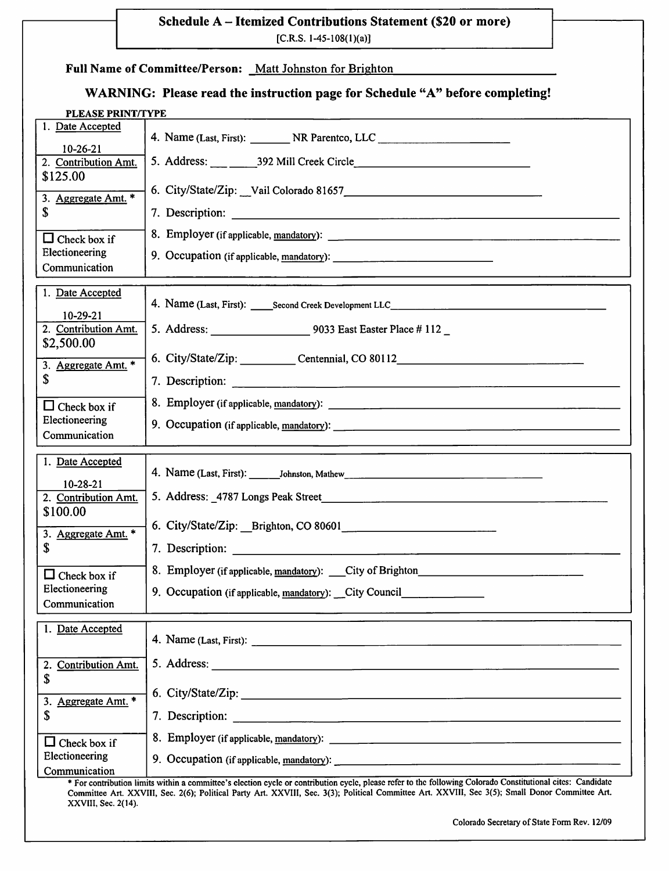#### Schedule A - Itemized Contributions Statement (\$20 or more)

 $[C.R.S. 1-45-108(1)(a)]$ 

| Full Name of Committee/Person: Matt Johnston for Brighton |  |
|-----------------------------------------------------------|--|
|                                                           |  |

XXVIII, Sec. 2(14).

# WARNING: Please read the instruction page for Schedule "A" before completing!

| PLEASE PRINT/TYPE                                      |                                                                                                                                                             |  |
|--------------------------------------------------------|-------------------------------------------------------------------------------------------------------------------------------------------------------------|--|
| 1. Date Accepted<br>$10-26-21$                         |                                                                                                                                                             |  |
| 2. Contribution Amt.<br>\$125.00                       |                                                                                                                                                             |  |
| 3. Aggregate Amt. *<br>\$                              | 6. City/State/Zip: Vail Colorado 81657<br>2011 - Maria Barriston, american proportional and the Colorado 81657                                              |  |
|                                                        |                                                                                                                                                             |  |
| $\Box$ Check box if<br>Electioneering<br>Communication |                                                                                                                                                             |  |
| 1. Date Accepted                                       | 4. Name (Last, First): Second Creek Development LLC______________________________                                                                           |  |
| $10-29-21$<br>2. Contribution Amt.                     | 5. Address: 9033 East Easter Place # 112                                                                                                                    |  |
| \$2,500.00<br>3. Aggregate Amt. *                      | 6. City/State/Zip: Centennial, CO 80112                                                                                                                     |  |
| S                                                      |                                                                                                                                                             |  |
| $\Box$ Check box if<br>Electioneering<br>Communication |                                                                                                                                                             |  |
| 1. Date Accepted                                       |                                                                                                                                                             |  |
| 10-28-21                                               |                                                                                                                                                             |  |
| 2. Contribution Amt.<br>\$100.00                       | 5. Address: 4787 Longs Peak Street <b>Container and Street Container and Street</b> Street Assembly and Street Assembly                                     |  |
| 3. Aggregate Amt. *                                    |                                                                                                                                                             |  |
| \$                                                     |                                                                                                                                                             |  |
| $\Box$ Check box if<br>Electioneering                  | 8. Employer (if applicable, mandatory): City of Brighton<br>9. Occupation (if applicable, mandatory): __ City Council                                       |  |
| Communication                                          |                                                                                                                                                             |  |
| 1. Date Accepted                                       |                                                                                                                                                             |  |
| <b>Contribution Amt.</b><br>2.<br>\$                   |                                                                                                                                                             |  |
| Aggregate Amt. *<br>3.                                 | 6. City/State/Zip:                                                                                                                                          |  |
| \$                                                     |                                                                                                                                                             |  |
| Check box if<br>Electioneering                         | 8. Employer (if applicable, mandatory):                                                                                                                     |  |
| Communication                                          | * For contribution limits within a committee's election cycle or contribution cycle, please refer to the following Colorado Constitutional cites: Candidate |  |
|                                                        | Committee Art. XXVIII, Sec. 2(6); Political Party Art. XXVIII, Sec. 3(3); Political Committee Art. XXVIII, Sec 3(5); Small Donor Committee Art.             |  |

Colorado Secretary of State Form Rev. 12/09